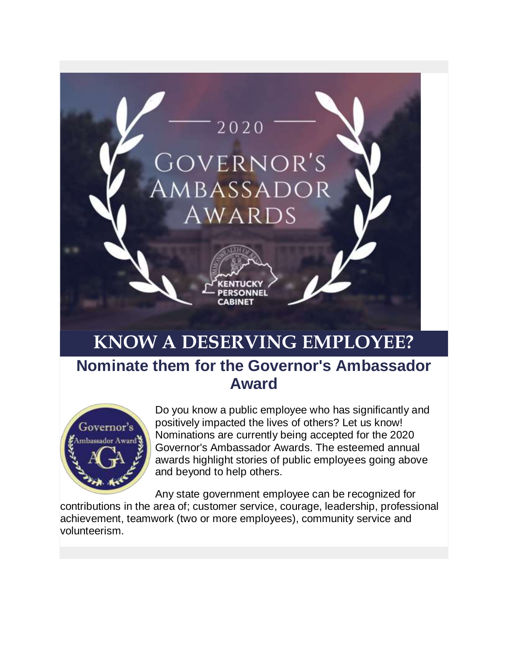

# **KNOW A DESERVING EMPLOYEE?**

### **Nominate them for the Governor's Ambassador Award**



Do you know a public employee who has significantly and positively impacted the lives of others? Let us know! Nominations are currently being accepted for the 2020 Governor's Ambassador Awards. The esteemed annual awards highlight stories of public employees going above and beyond to help others.

Any state government employee can be recognized for

contributions in the area of; customer service, courage, leadership, professional achievement, teamwork (two or more employees), community service and volunteerism.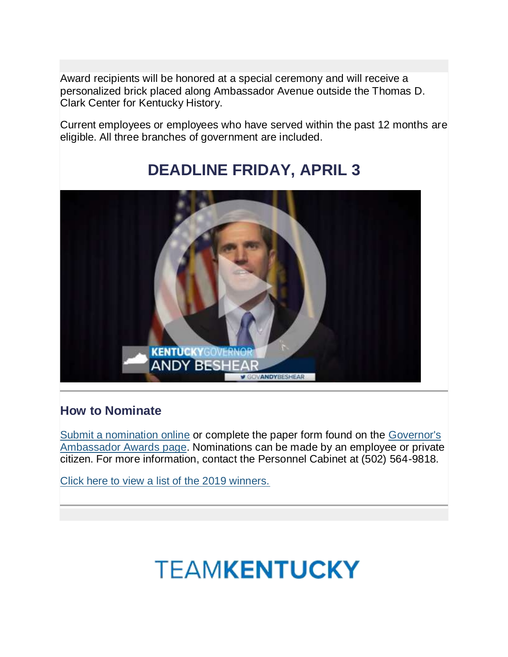Award recipients will be honored at a special ceremony and will receive a personalized brick placed along Ambassador Avenue outside the Thomas D. Clark Center for Kentucky History.

Current employees or employees who have served within the past 12 months are eligible. All three branches of government are included.

### **DEADLINE FRIDAY, APRIL 3**



#### **How to Nominate**

[Submit a nomination online](https://personnel.ky.gov/_layouts/15/GovernorsAmbassadorAward/GAAForm.aspx) or complete the paper form found on the [Governor's](https://personnel.ky.gov/pages/rewards.aspx)  [Ambassador Awards page.](https://personnel.ky.gov/pages/rewards.aspx) Nominations can be made by an employee or private citizen. For more information, contact the Personnel Cabinet at (502) 564-9818.

[Click here to view a list of the 2019 winners.](https://personnel.ky.gov/Pages/Governor%27s-Ambassador-Award-Winners.aspx)

# **TEAMKENTUCKY**